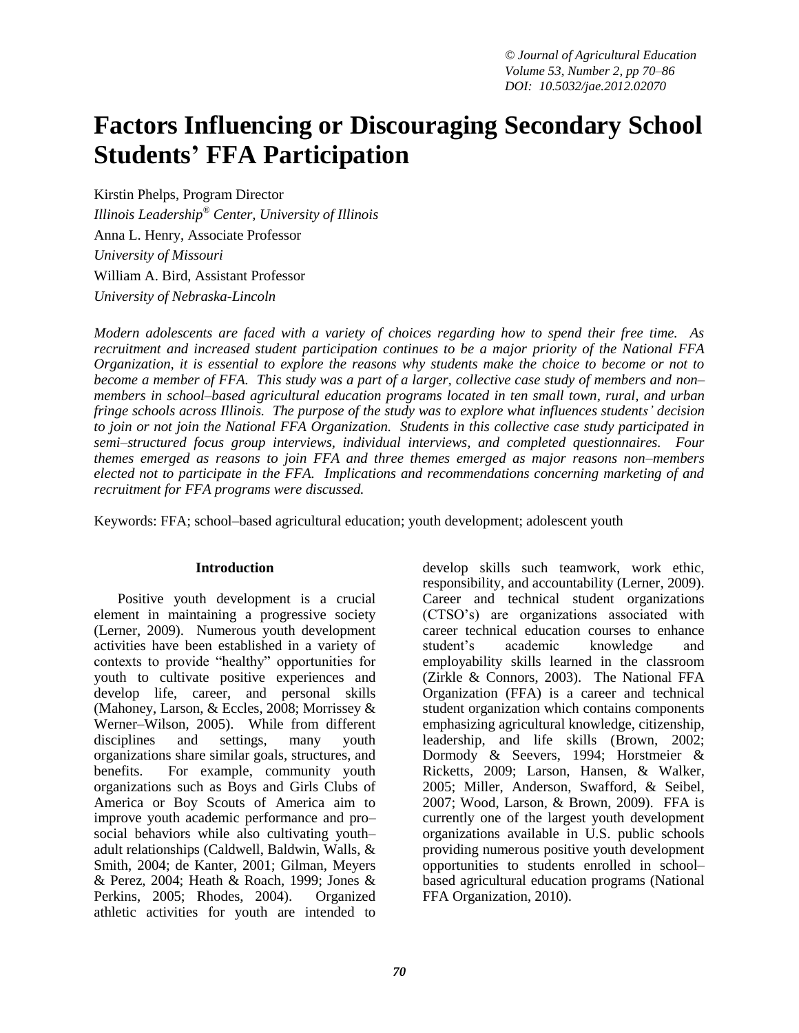# **Factors Influencing or Discouraging Secondary School Students' FFA Participation**

Kirstin Phelps, Program Director *Illinois Leadership® Center, University of Illinois* Anna L. Henry, Associate Professor *University of Missouri* William A. Bird, Assistant Professor *University of Nebraska-Lincoln*

*Modern adolescents are faced with a variety of choices regarding how to spend their free time. As recruitment and increased student participation continues to be a major priority of the National FFA Organization, it is essential to explore the reasons why students make the choice to become or not to become a member of FFA. This study was a part of a larger, collective case study of members and non– members in school–based agricultural education programs located in ten small town, rural, and urban fringe schools across Illinois. The purpose of the study was to explore what influences students' decision to join or not join the National FFA Organization. Students in this collective case study participated in semi–structured focus group interviews, individual interviews, and completed questionnaires. Four themes emerged as reasons to join FFA and three themes emerged as major reasons non–members elected not to participate in the FFA. Implications and recommendations concerning marketing of and recruitment for FFA programs were discussed.*

Keywords: FFA; school–based agricultural education; youth development; adolescent youth

#### **Introduction**

Positive youth development is a crucial element in maintaining a progressive society (Lerner, 2009). Numerous youth development activities have been established in a variety of contexts to provide "healthy" opportunities for youth to cultivate positive experiences and develop life, career, and personal skills (Mahoney, Larson, & Eccles, 2008; Morrissey & Werner–Wilson, 2005). While from different disciplines and settings, many youth organizations share similar goals, structures, and benefits. For example, community youth organizations such as Boys and Girls Clubs of America or Boy Scouts of America aim to improve youth academic performance and pro– social behaviors while also cultivating youth– adult relationships (Caldwell, Baldwin, Walls, & Smith, 2004; de Kanter, 2001; Gilman, Meyers  $&$  Perez, 2004; Heath  $&$  Roach, 1999; Jones  $&$ Perkins, 2005; Rhodes, 2004). Organized athletic activities for youth are intended to

develop skills such teamwork, work ethic, responsibility, and accountability (Lerner, 2009). Career and technical student organizations (CTSO's) are organizations associated with career technical education courses to enhance student's academic knowledge and employability skills learned in the classroom (Zirkle & Connors, 2003). The National FFA Organization (FFA) is a career and technical student organization which contains components emphasizing agricultural knowledge, citizenship, leadership, and life skills (Brown, 2002; Dormody & Seevers, 1994; Horstmeier & Ricketts, 2009; Larson, Hansen, & Walker, 2005; Miller, Anderson, Swafford, & Seibel, 2007; Wood, Larson, & Brown, 2009). FFA is currently one of the largest youth development organizations available in U.S. public schools providing numerous positive youth development opportunities to students enrolled in school– based agricultural education programs (National FFA Organization, 2010).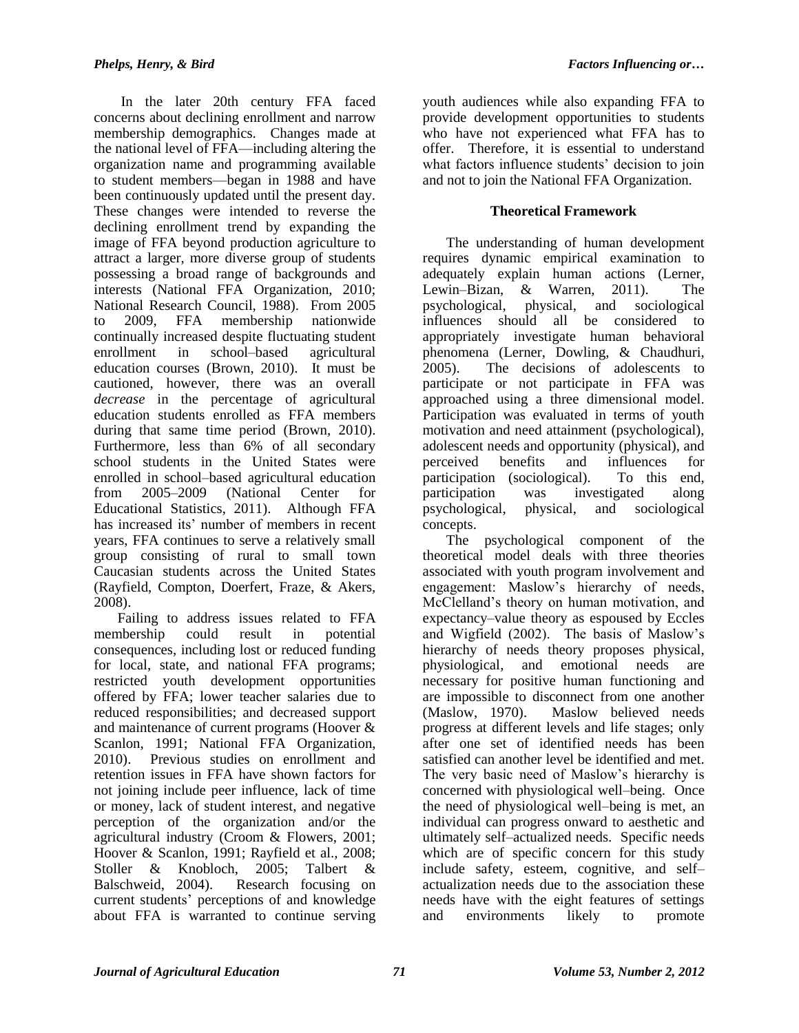In the later 20th century FFA faced concerns about declining enrollment and narrow membership demographics. Changes made at the national level of FFA—including altering the organization name and programming available to student members—began in 1988 and have been continuously updated until the present day. These changes were intended to reverse the declining enrollment trend by expanding the image of FFA beyond production agriculture to attract a larger, more diverse group of students possessing a broad range of backgrounds and interests (National FFA Organization, 2010; National Research Council, 1988). From 2005 to 2009, FFA membership nationwide continually increased despite fluctuating student enrollment in school–based agricultural education courses (Brown, 2010). It must be cautioned, however, there was an overall *decrease* in the percentage of agricultural education students enrolled as FFA members during that same time period (Brown, 2010). Furthermore, less than 6% of all secondary school students in the United States were enrolled in school–based agricultural education from 2005–2009 (National Center for Educational Statistics, 2011). Although FFA has increased its' number of members in recent years, FFA continues to serve a relatively small group consisting of rural to small town Caucasian students across the United States (Rayfield, Compton, Doerfert, Fraze, & Akers, 2008).

Failing to address issues related to FFA membership could result in potential consequences, including lost or reduced funding for local, state, and national FFA programs; restricted youth development opportunities offered by FFA; lower teacher salaries due to reduced responsibilities; and decreased support and maintenance of current programs (Hoover & Scanlon, 1991; National FFA Organization, 2010). Previous studies on enrollment and retention issues in FFA have shown factors for not joining include peer influence, lack of time or money, lack of student interest, and negative perception of the organization and/or the agricultural industry (Croom & Flowers, 2001; Hoover & Scanlon, 1991; Rayfield et al., 2008; Stoller & Knobloch, 2005; Talbert & Balschweid, 2004). Research focusing on current students' perceptions of and knowledge about FFA is warranted to continue serving

youth audiences while also expanding FFA to provide development opportunities to students who have not experienced what FFA has to offer. Therefore, it is essential to understand what factors influence students' decision to join and not to join the National FFA Organization.

## **Theoretical Framework**

The understanding of human development requires dynamic empirical examination to adequately explain human actions (Lerner, Lewin–Bizan, & Warren, 2011). The psychological, physical, and sociological influences should all be considered to appropriately investigate human behavioral phenomena (Lerner, Dowling, & Chaudhuri, 2005). The decisions of adolescents to participate or not participate in FFA was approached using a three dimensional model. Participation was evaluated in terms of youth motivation and need attainment (psychological), adolescent needs and opportunity (physical), and perceived benefits and influences for participation (sociological). To this end, participation was investigated along psychological, physical, and sociological concepts.

The psychological component of the theoretical model deals with three theories associated with youth program involvement and engagement: Maslow's hierarchy of needs, McClelland's theory on human motivation, and expectancy–value theory as espoused by Eccles and Wigfield (2002). The basis of Maslow's hierarchy of needs theory proposes physical, physiological, and emotional needs are necessary for positive human functioning and are impossible to disconnect from one another (Maslow, 1970). Maslow believed needs progress at different levels and life stages; only after one set of identified needs has been satisfied can another level be identified and met. The very basic need of Maslow's hierarchy is concerned with physiological well–being. Once the need of physiological well–being is met, an individual can progress onward to aesthetic and ultimately self–actualized needs. Specific needs which are of specific concern for this study include safety, esteem, cognitive, and self– actualization needs due to the association these needs have with the eight features of settings and environments likely to promote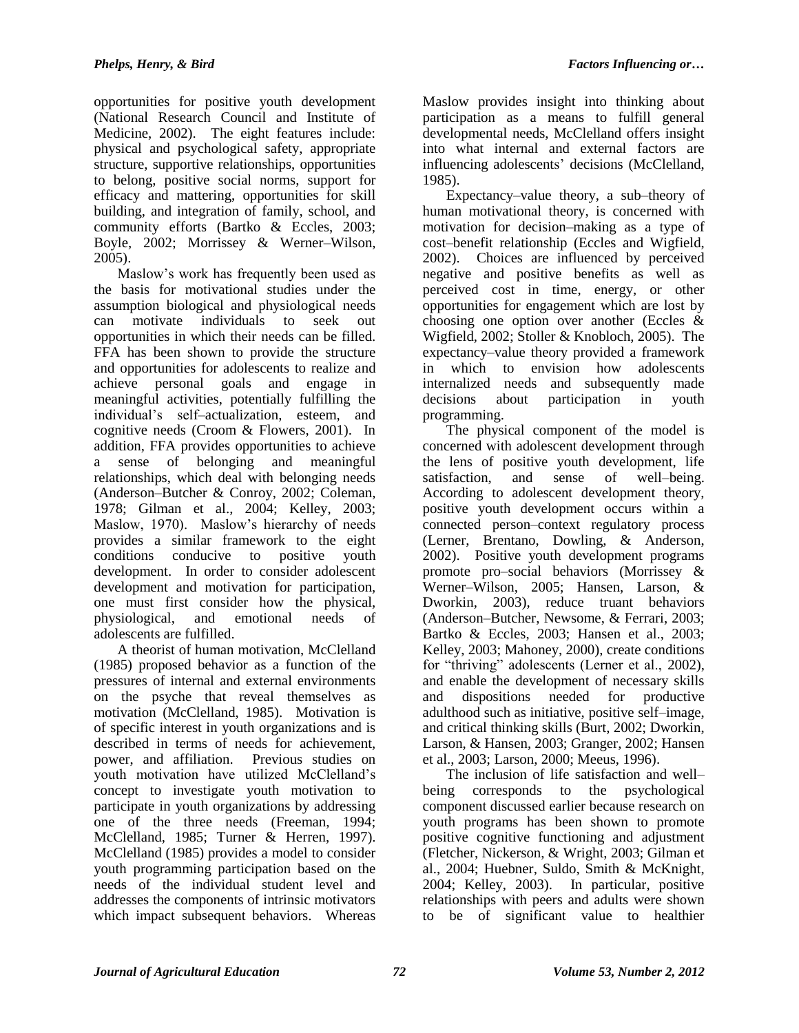opportunities for positive youth development (National Research Council and Institute of Medicine, 2002). The eight features include: physical and psychological safety, appropriate structure, supportive relationships, opportunities to belong, positive social norms, support for efficacy and mattering, opportunities for skill building, and integration of family, school, and community efforts (Bartko & Eccles, 2003; Boyle, 2002; Morrissey & Werner–Wilson, 2005).

Maslow's work has frequently been used as the basis for motivational studies under the assumption biological and physiological needs can motivate individuals to seek out opportunities in which their needs can be filled. FFA has been shown to provide the structure and opportunities for adolescents to realize and achieve personal goals and engage in meaningful activities, potentially fulfilling the individual's self–actualization, esteem, and cognitive needs (Croom & Flowers, 2001). In addition, FFA provides opportunities to achieve a sense of belonging and meaningful relationships, which deal with belonging needs (Anderson–Butcher & Conroy, 2002; Coleman, 1978; Gilman et al., 2004; Kelley, 2003; Maslow, 1970). Maslow's hierarchy of needs provides a similar framework to the eight conditions conducive to positive youth development. In order to consider adolescent development and motivation for participation, one must first consider how the physical, physiological, and emotional needs of adolescents are fulfilled.

A theorist of human motivation, McClelland (1985) proposed behavior as a function of the pressures of internal and external environments on the psyche that reveal themselves as motivation (McClelland, 1985). Motivation is of specific interest in youth organizations and is described in terms of needs for achievement, power, and affiliation. Previous studies on youth motivation have utilized McClelland's concept to investigate youth motivation to participate in youth organizations by addressing one of the three needs (Freeman, 1994; McClelland, 1985; Turner & Herren, 1997). McClelland (1985) provides a model to consider youth programming participation based on the needs of the individual student level and addresses the components of intrinsic motivators which impact subsequent behaviors. Whereas

Maslow provides insight into thinking about participation as a means to fulfill general developmental needs, McClelland offers insight into what internal and external factors are influencing adolescents' decisions (McClelland, 1985).

Expectancy–value theory, a sub–theory of human motivational theory, is concerned with motivation for decision–making as a type of cost–benefit relationship (Eccles and Wigfield, 2002). Choices are influenced by perceived negative and positive benefits as well as perceived cost in time, energy, or other opportunities for engagement which are lost by choosing one option over another (Eccles & Wigfield, 2002; Stoller & Knobloch, 2005). The expectancy–value theory provided a framework in which to envision how adolescents internalized needs and subsequently made decisions about participation in youth programming.

The physical component of the model is concerned with adolescent development through the lens of positive youth development, life satisfaction, and sense of well–being. According to adolescent development theory, positive youth development occurs within a connected person–context regulatory process (Lerner, Brentano, Dowling, & Anderson, 2002). Positive youth development programs promote pro–social behaviors (Morrissey & Werner–Wilson, 2005; Hansen, Larson, & Dworkin, 2003), reduce truant behaviors (Anderson–Butcher, Newsome, & Ferrari, 2003; Bartko & Eccles, 2003; Hansen et al., 2003; Kelley, 2003; Mahoney, 2000), create conditions for "thriving" adolescents (Lerner et al., 2002), and enable the development of necessary skills and dispositions needed for productive adulthood such as initiative, positive self–image, and critical thinking skills (Burt, 2002; Dworkin, Larson, & Hansen, 2003; Granger, 2002; Hansen et al., 2003; Larson, 2000; Meeus, 1996).

The inclusion of life satisfaction and well– being corresponds to the psychological component discussed earlier because research on youth programs has been shown to promote positive cognitive functioning and adjustment (Fletcher, Nickerson, & Wright, 2003; Gilman et al., 2004; Huebner, Suldo, Smith & McKnight, 2004; Kelley, 2003). In particular, positive relationships with peers and adults were shown to be of significant value to healthier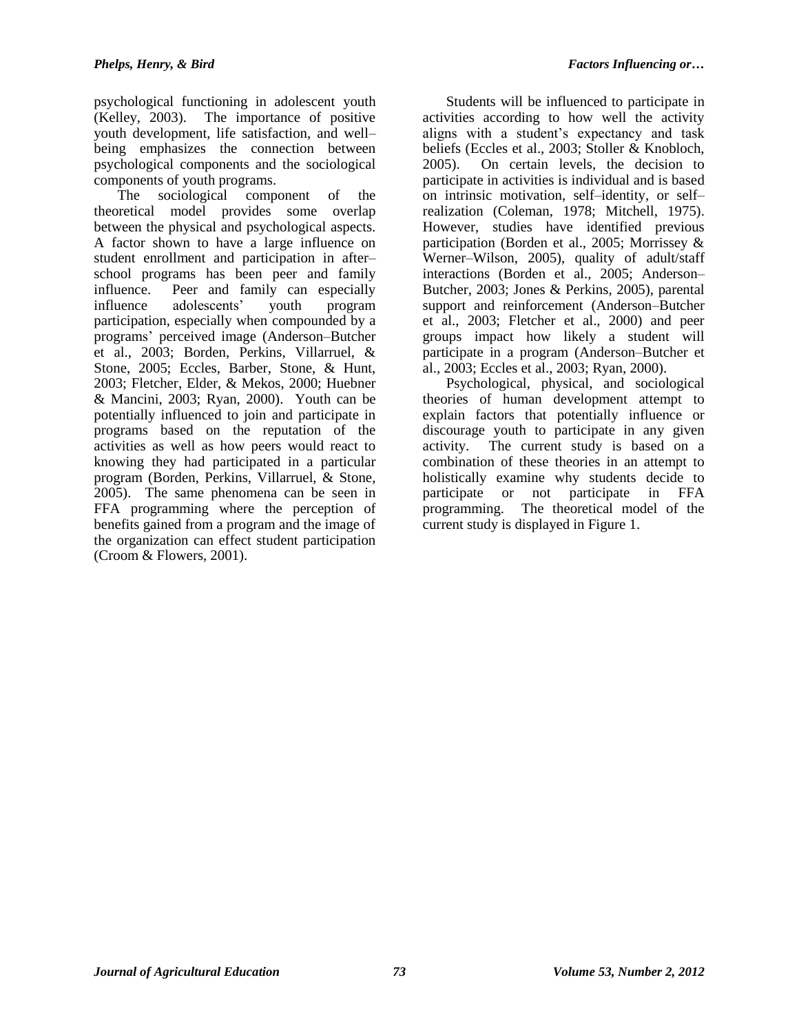psychological functioning in adolescent youth (Kelley, 2003). The importance of positive youth development, life satisfaction, and well– being emphasizes the connection between psychological components and the sociological components of youth programs.

The sociological component of the theoretical model provides some overlap between the physical and psychological aspects. A factor shown to have a large influence on student enrollment and participation in after– school programs has been peer and family influence. Peer and family can especially influence adolescents' youth program participation, especially when compounded by a programs' perceived image (Anderson–Butcher et al., 2003; Borden, Perkins, Villarruel, & Stone, 2005; Eccles, Barber, Stone, & Hunt, 2003; Fletcher, Elder, & Mekos, 2000; Huebner & Mancini, 2003; Ryan, 2000). Youth can be potentially influenced to join and participate in programs based on the reputation of the activities as well as how peers would react to knowing they had participated in a particular program (Borden, Perkins, Villarruel, & Stone, 2005). The same phenomena can be seen in FFA programming where the perception of benefits gained from a program and the image of the organization can effect student participation (Croom & Flowers, 2001).

Students will be influenced to participate in activities according to how well the activity aligns with a student's expectancy and task beliefs (Eccles et al., 2003; Stoller & Knobloch, 2005). On certain levels, the decision to participate in activities is individual and is based on intrinsic motivation, self–identity, or self– realization (Coleman, 1978; Mitchell, 1975). However, studies have identified previous participation (Borden et al., 2005; Morrissey & Werner–Wilson, 2005), quality of adult/staff interactions (Borden et al., 2005; Anderson– Butcher, 2003; Jones & Perkins, 2005), parental support and reinforcement (Anderson–Butcher et al., 2003; Fletcher et al., 2000) and peer groups impact how likely a student will participate in a program (Anderson–Butcher et al., 2003; Eccles et al., 2003; Ryan, 2000).

Psychological, physical, and sociological theories of human development attempt to explain factors that potentially influence or discourage youth to participate in any given activity. The current study is based on a combination of these theories in an attempt to holistically examine why students decide to participate or not participate in FFA programming. The theoretical model of the current study is displayed in Figure 1.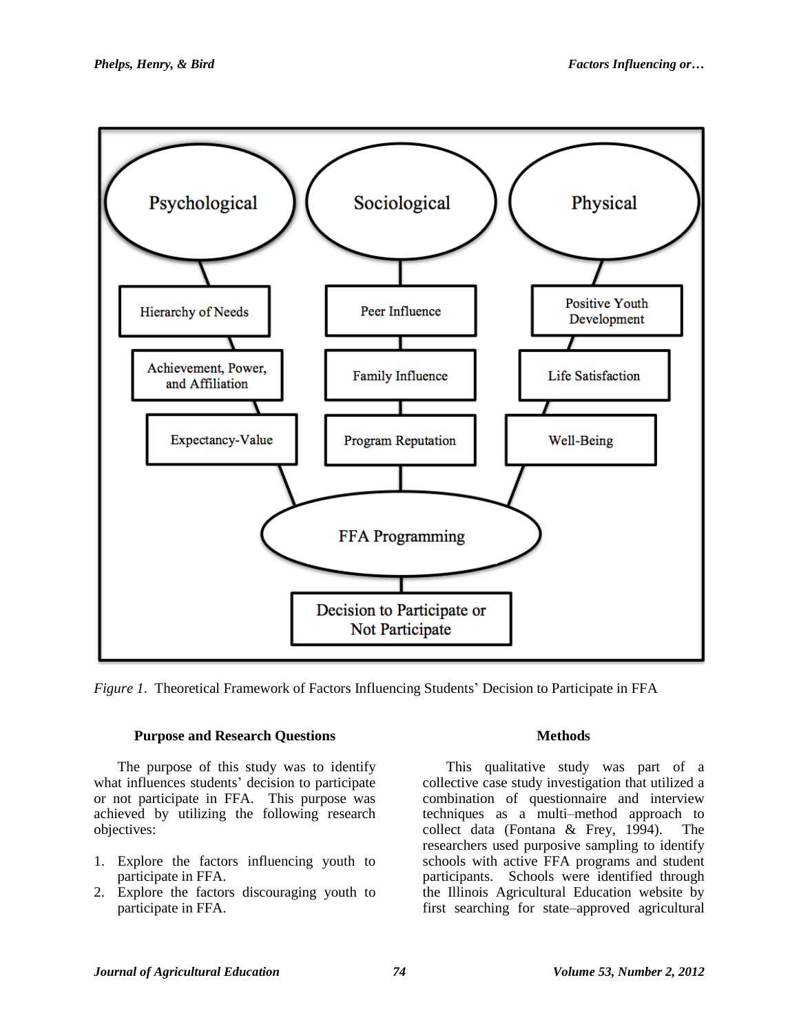

*Figure 1*. Theoretical Framework of Factors Influencing Students' Decision to Participate in FFA

## **Purpose and Research Questions**

The purpose of this study was to identify what influences students' decision to participate or not participate in FFA. This purpose was achieved by utilizing the following research objectives:

- 1. Explore the factors influencing youth to participate in FFA.
- 2. Explore the factors discouraging youth to participate in FFA.

## **Methods**

This qualitative study was part of a collective case study investigation that utilized a combination of questionnaire and interview techniques as a multi–method approach to collect data (Fontana & Frey, 1994). The researchers used purposive sampling to identify schools with active FFA programs and student participants. Schools were identified through the Illinois Agricultural Education website by first searching for state–approved agricultural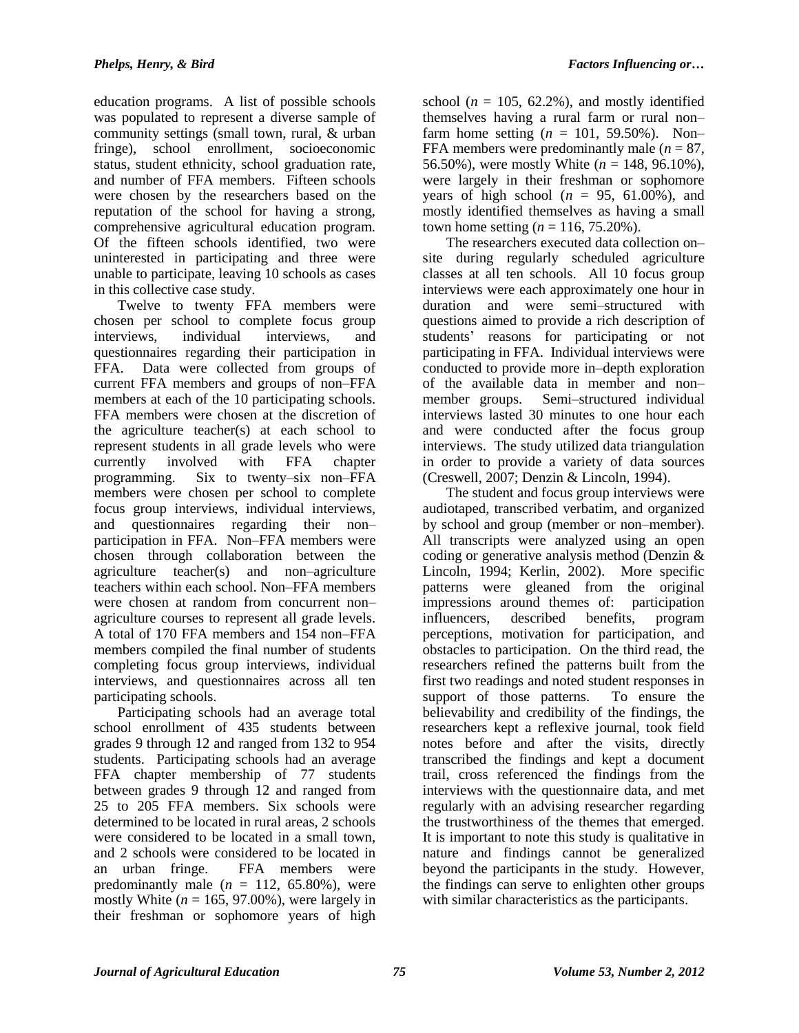education programs. A list of possible schools was populated to represent a diverse sample of community settings (small town, rural, & urban fringe), school enrollment, socioeconomic status, student ethnicity, school graduation rate, and number of FFA members. Fifteen schools were chosen by the researchers based on the reputation of the school for having a strong, comprehensive agricultural education program. Of the fifteen schools identified, two were uninterested in participating and three were unable to participate, leaving 10 schools as cases in this collective case study.

Twelve to twenty FFA members were chosen per school to complete focus group interviews, individual interviews, and questionnaires regarding their participation in FFA. Data were collected from groups of current FFA members and groups of non–FFA members at each of the 10 participating schools. FFA members were chosen at the discretion of the agriculture teacher(s) at each school to represent students in all grade levels who were currently involved with FFA chapter programming. Six to twenty–six non–FFA members were chosen per school to complete focus group interviews, individual interviews, and questionnaires regarding their non– participation in FFA. Non–FFA members were chosen through collaboration between the agriculture teacher(s) and non–agriculture teachers within each school. Non–FFA members were chosen at random from concurrent non– agriculture courses to represent all grade levels. A total of 170 FFA members and 154 non–FFA members compiled the final number of students completing focus group interviews, individual interviews, and questionnaires across all ten participating schools.

Participating schools had an average total school enrollment of 435 students between grades 9 through 12 and ranged from 132 to 954 students. Participating schools had an average FFA chapter membership of 77 students between grades 9 through 12 and ranged from 25 to 205 FFA members. Six schools were determined to be located in rural areas, 2 schools were considered to be located in a small town, and 2 schools were considered to be located in an urban fringe. FFA members were predominantly male  $(n = 112, 65.80\%)$ , were mostly White  $(n = 165, 97.00\%)$ , were largely in their freshman or sophomore years of high

school ( $n = 105$ , 62.2%), and mostly identified themselves having a rural farm or rural non– farm home setting  $(n = 101, 59.50\%)$ . Non-FFA members were predominantly male  $(n = 87)$ , 56.50%), were mostly White (*n* = 148, 96.10%), were largely in their freshman or sophomore years of high school  $(n = 95, 61.00\%)$ , and mostly identified themselves as having a small town home setting ( $n = 116, 75.20\%$ ).

The researchers executed data collection on– site during regularly scheduled agriculture classes at all ten schools. All 10 focus group interviews were each approximately one hour in duration and were semi–structured with questions aimed to provide a rich description of students' reasons for participating or not participating in FFA. Individual interviews were conducted to provide more in–depth exploration of the available data in member and non– member groups. Semi–structured individual interviews lasted 30 minutes to one hour each and were conducted after the focus group interviews. The study utilized data triangulation in order to provide a variety of data sources (Creswell, 2007; Denzin & Lincoln, 1994).

The student and focus group interviews were audiotaped, transcribed verbatim, and organized by school and group (member or non–member). All transcripts were analyzed using an open coding or generative analysis method (Denzin & Lincoln, 1994; Kerlin, 2002). More specific patterns were gleaned from the original impressions around themes of: participation influencers, described benefits, program perceptions, motivation for participation, and obstacles to participation. On the third read, the researchers refined the patterns built from the first two readings and noted student responses in support of those patterns. To ensure the believability and credibility of the findings, the researchers kept a reflexive journal, took field notes before and after the visits, directly transcribed the findings and kept a document trail, cross referenced the findings from the interviews with the questionnaire data, and met regularly with an advising researcher regarding the trustworthiness of the themes that emerged. It is important to note this study is qualitative in nature and findings cannot be generalized beyond the participants in the study. However, the findings can serve to enlighten other groups with similar characteristics as the participants.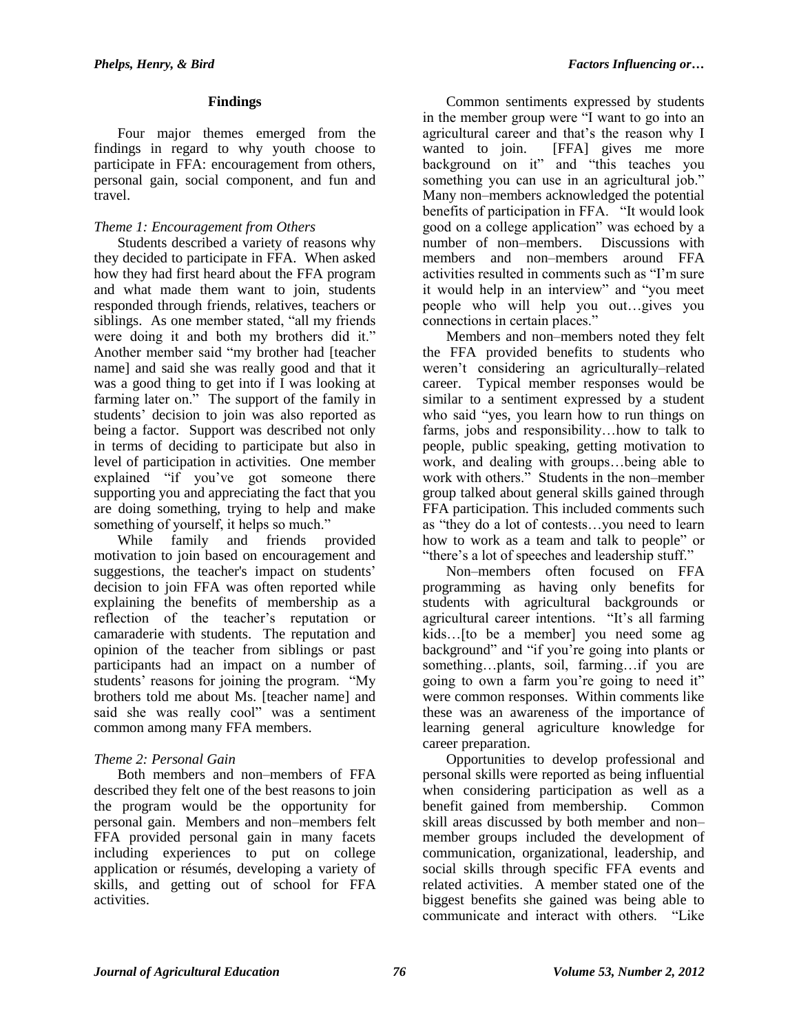#### **Findings**

Four major themes emerged from the findings in regard to why youth choose to participate in FFA: encouragement from others, personal gain, social component, and fun and travel.

## *Theme 1: Encouragement from Others*

Students described a variety of reasons why they decided to participate in FFA. When asked how they had first heard about the FFA program and what made them want to join, students responded through friends, relatives, teachers or siblings. As one member stated, "all my friends were doing it and both my brothers did it." Another member said "my brother had [teacher name] and said she was really good and that it was a good thing to get into if I was looking at farming later on." The support of the family in students' decision to join was also reported as being a factor. Support was described not only in terms of deciding to participate but also in level of participation in activities. One member explained "if you've got someone there supporting you and appreciating the fact that you are doing something, trying to help and make something of yourself, it helps so much."

While family and friends provided motivation to join based on encouragement and suggestions, the teacher's impact on students' decision to join FFA was often reported while explaining the benefits of membership as a reflection of the teacher's reputation or camaraderie with students. The reputation and opinion of the teacher from siblings or past participants had an impact on a number of students' reasons for joining the program. "My brothers told me about Ms. [teacher name] and said she was really cool" was a sentiment common among many FFA members.

## *Theme 2: Personal Gain*

Both members and non–members of FFA described they felt one of the best reasons to join the program would be the opportunity for personal gain. Members and non–members felt FFA provided personal gain in many facets including experiences to put on college application or résumés, developing a variety of skills, and getting out of school for FFA activities.

Common sentiments expressed by students in the member group were "I want to go into an agricultural career and that's the reason why I wanted to join. [FFA] gives me more background on it" and "this teaches you something you can use in an agricultural job." Many non–members acknowledged the potential benefits of participation in FFA. "It would look good on a college application" was echoed by a number of non–members. Discussions with members and non–members around FFA activities resulted in comments such as "I'm sure it would help in an interview" and "you meet people who will help you out…gives you connections in certain places."

Members and non–members noted they felt the FFA provided benefits to students who weren't considering an agriculturally–related career. Typical member responses would be similar to a sentiment expressed by a student who said "yes, you learn how to run things on farms, jobs and responsibility…how to talk to people, public speaking, getting motivation to work, and dealing with groups…being able to work with others." Students in the non–member group talked about general skills gained through FFA participation. This included comments such as "they do a lot of contests…you need to learn how to work as a team and talk to people" or "there's a lot of speeches and leadership stuff."

Non–members often focused on FFA programming as having only benefits for students with agricultural backgrounds or agricultural career intentions. "It's all farming kids…[to be a member] you need some ag background" and "if you're going into plants or something…plants, soil, farming…if you are going to own a farm you're going to need it" were common responses. Within comments like these was an awareness of the importance of learning general agriculture knowledge for career preparation.

Opportunities to develop professional and personal skills were reported as being influential when considering participation as well as a benefit gained from membership. Common skill areas discussed by both member and non– member groups included the development of communication, organizational, leadership, and social skills through specific FFA events and related activities. A member stated one of the biggest benefits she gained was being able to communicate and interact with others. "Like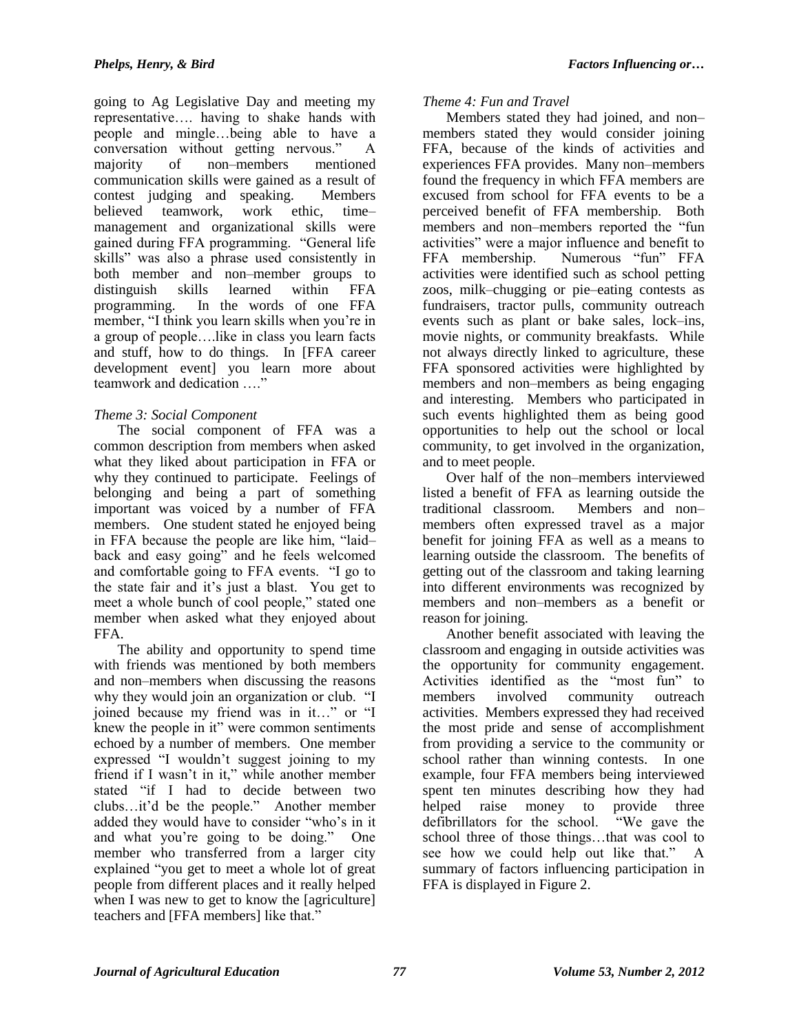going to Ag Legislative Day and meeting my representative…. having to shake hands with people and mingle…being able to have a conversation without getting nervous." A majority of non–members mentioned communication skills were gained as a result of contest judging and speaking. Members believed teamwork, work ethic, time– management and organizational skills were gained during FFA programming. "General life skills" was also a phrase used consistently in both member and non–member groups to distinguish skills learned within FFA programming. In the words of one FFA member, "I think you learn skills when you're in a group of people….like in class you learn facts and stuff, how to do things. In [FFA career development event] you learn more about teamwork and dedication …."

## *Theme 3: Social Component*

The social component of FFA was a common description from members when asked what they liked about participation in FFA or why they continued to participate. Feelings of belonging and being a part of something important was voiced by a number of FFA members. One student stated he enjoyed being in FFA because the people are like him, "laid– back and easy going" and he feels welcomed and comfortable going to FFA events. "I go to the state fair and it's just a blast. You get to meet a whole bunch of cool people," stated one member when asked what they enjoyed about FFA.

The ability and opportunity to spend time with friends was mentioned by both members and non–members when discussing the reasons why they would join an organization or club. "I joined because my friend was in it…" or "I knew the people in it" were common sentiments echoed by a number of members. One member expressed "I wouldn't suggest joining to my friend if I wasn't in it," while another member stated "if I had to decide between two clubs…it'd be the people." Another member added they would have to consider "who's in it and what you're going to be doing." One member who transferred from a larger city explained "you get to meet a whole lot of great people from different places and it really helped when I was new to get to know the [agriculture] teachers and [FFA members] like that."

#### *Theme 4: Fun and Travel*

Members stated they had joined, and non– members stated they would consider joining FFA, because of the kinds of activities and experiences FFA provides. Many non–members found the frequency in which FFA members are excused from school for FFA events to be a perceived benefit of FFA membership. Both members and non–members reported the "fun activities" were a major influence and benefit to FFA membership. Numerous "fun" FFA activities were identified such as school petting zoos, milk–chugging or pie–eating contests as fundraisers, tractor pulls, community outreach events such as plant or bake sales, lock–ins, movie nights, or community breakfasts. While not always directly linked to agriculture, these FFA sponsored activities were highlighted by members and non–members as being engaging and interesting. Members who participated in such events highlighted them as being good opportunities to help out the school or local community, to get involved in the organization, and to meet people.

Over half of the non–members interviewed listed a benefit of FFA as learning outside the traditional classroom. Members and non– members often expressed travel as a major benefit for joining FFA as well as a means to learning outside the classroom. The benefits of getting out of the classroom and taking learning into different environments was recognized by members and non–members as a benefit or reason for joining.

Another benefit associated with leaving the classroom and engaging in outside activities was the opportunity for community engagement. Activities identified as the "most fun" to members involved community outreach activities. Members expressed they had received the most pride and sense of accomplishment from providing a service to the community or school rather than winning contests. In one example, four FFA members being interviewed spent ten minutes describing how they had helped raise money to provide three<br>defibrillators for the school. "We gave the defibrillators for the school. school three of those things…that was cool to see how we could help out like that." A summary of factors influencing participation in FFA is displayed in Figure 2.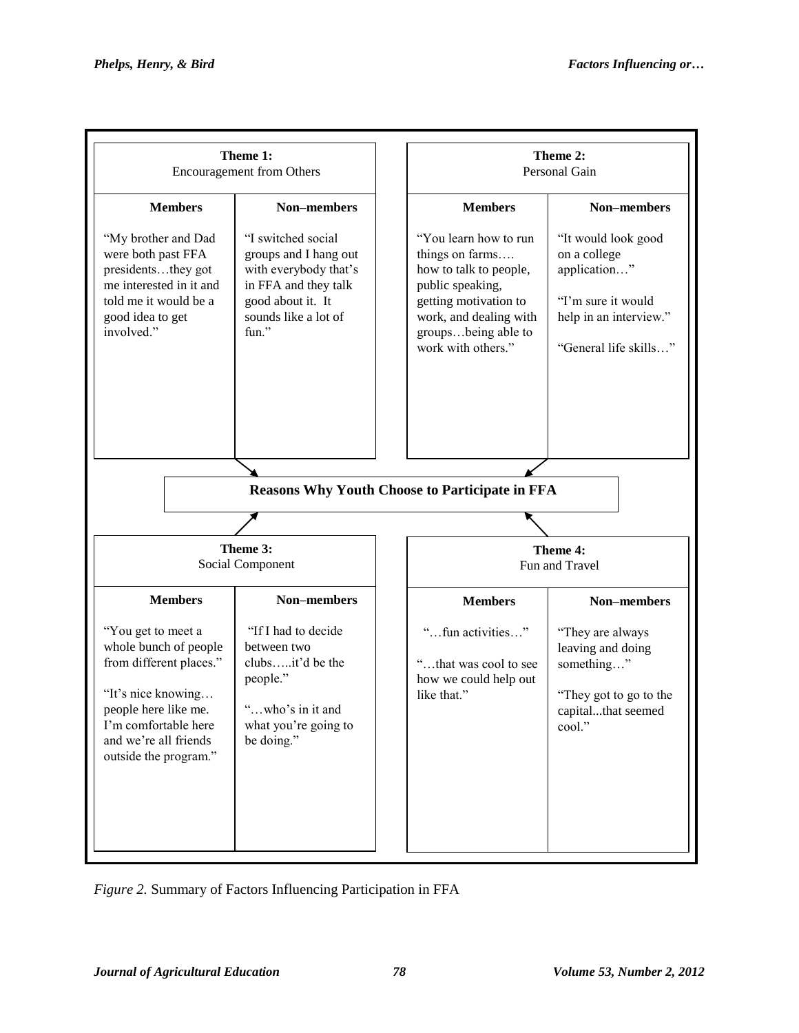

*Figure 2.* Summary of Factors Influencing Participation in FFA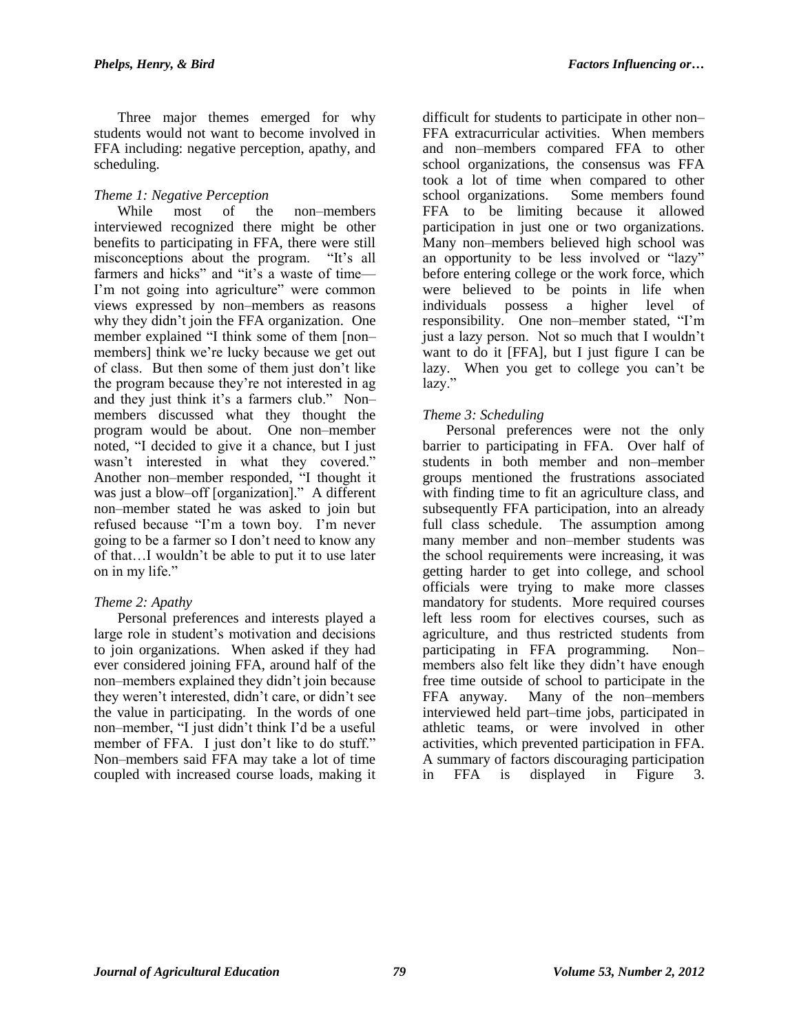Three major themes emerged for why students would not want to become involved in FFA including: negative perception, apathy, and scheduling.

#### *Theme 1: Negative Perception*

While most of the non–members interviewed recognized there might be other benefits to participating in FFA, there were still misconceptions about the program. "It's all farmers and hicks" and "it's a waste of time— I'm not going into agriculture" were common views expressed by non–members as reasons why they didn't join the FFA organization. One member explained "I think some of them [non– members] think we're lucky because we get out of class. But then some of them just don't like the program because they're not interested in ag and they just think it's a farmers club." Non– members discussed what they thought the program would be about. One non–member noted, "I decided to give it a chance, but I just wasn't interested in what they covered." Another non–member responded, "I thought it was just a blow–off [organization]." A different non–member stated he was asked to join but refused because "I'm a town boy. I'm never going to be a farmer so I don't need to know any of that…I wouldn't be able to put it to use later on in my life."

## *Theme 2: Apathy*

Personal preferences and interests played a large role in student's motivation and decisions to join organizations. When asked if they had ever considered joining FFA, around half of the non–members explained they didn't join because they weren't interested, didn't care, or didn't see the value in participating. In the words of one non–member, "I just didn't think I'd be a useful member of FFA. I just don't like to do stuff." Non–members said FFA may take a lot of time coupled with increased course loads, making it

difficult for students to participate in other non– FFA extracurricular activities. When members and non–members compared FFA to other school organizations, the consensus was FFA took a lot of time when compared to other school organizations. Some members found FFA to be limiting because it allowed participation in just one or two organizations. Many non–members believed high school was an opportunity to be less involved or "lazy" before entering college or the work force, which were believed to be points in life when individuals possess a higher level of responsibility. One non–member stated, "I'm just a lazy person. Not so much that I wouldn't want to do it [FFA], but I just figure I can be lazy. When you get to college you can't be lazy."

## *Theme 3: Scheduling*

Personal preferences were not the only barrier to participating in FFA. Over half of students in both member and non–member groups mentioned the frustrations associated with finding time to fit an agriculture class, and subsequently FFA participation, into an already full class schedule. The assumption among many member and non–member students was the school requirements were increasing, it was getting harder to get into college, and school officials were trying to make more classes mandatory for students. More required courses left less room for electives courses, such as agriculture, and thus restricted students from participating in FFA programming. Non– members also felt like they didn't have enough free time outside of school to participate in the FFA anyway. Many of the non–members interviewed held part–time jobs, participated in athletic teams, or were involved in other activities, which prevented participation in FFA. A summary of factors discouraging participation in FFA is displayed in Figure 3.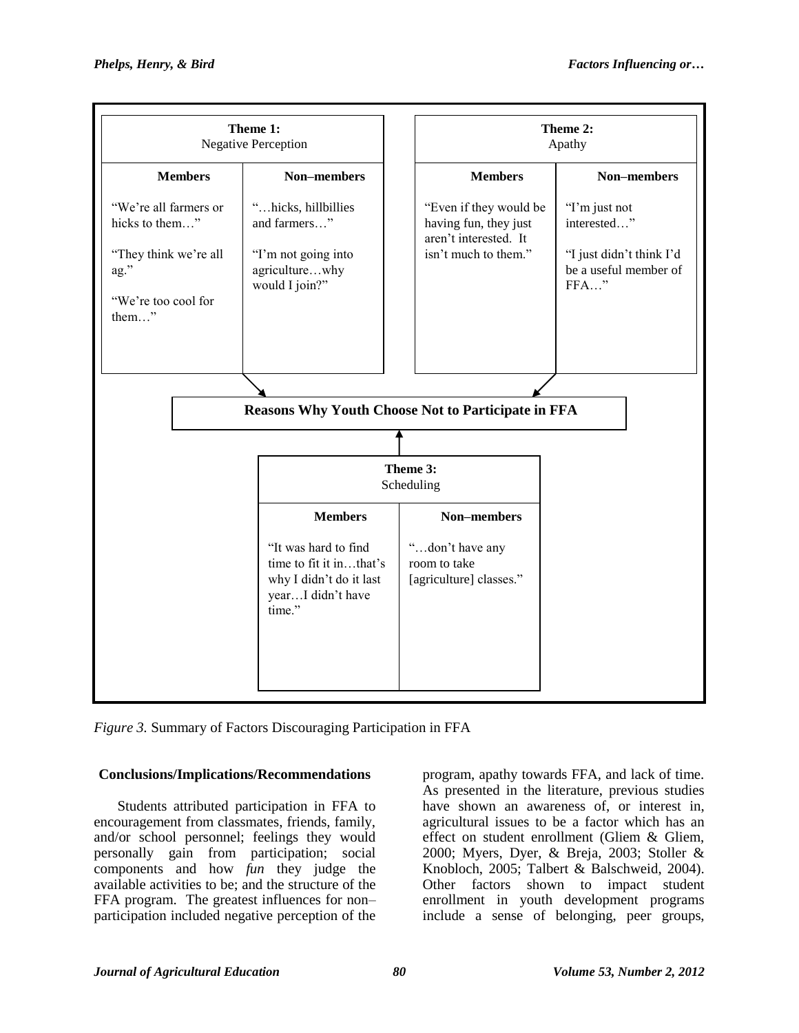

*Figure 3.* Summary of Factors Discouraging Participation in FFA

## **Conclusions/Implications/Recommendations**

Students attributed participation in FFA to encouragement from classmates, friends, family, and/or school personnel; feelings they would personally gain from participation; social components and how *fun* they judge the available activities to be; and the structure of the FFA program. The greatest influences for non– participation included negative perception of the program, apathy towards FFA, and lack of time. As presented in the literature, previous studies have shown an awareness of, or interest in, agricultural issues to be a factor which has an effect on student enrollment (Gliem & Gliem, 2000; Myers, Dyer, & Breja, 2003; Stoller & Knobloch, 2005; Talbert & Balschweid, 2004). Other factors shown to impact student enrollment in youth development programs include a sense of belonging, peer groups,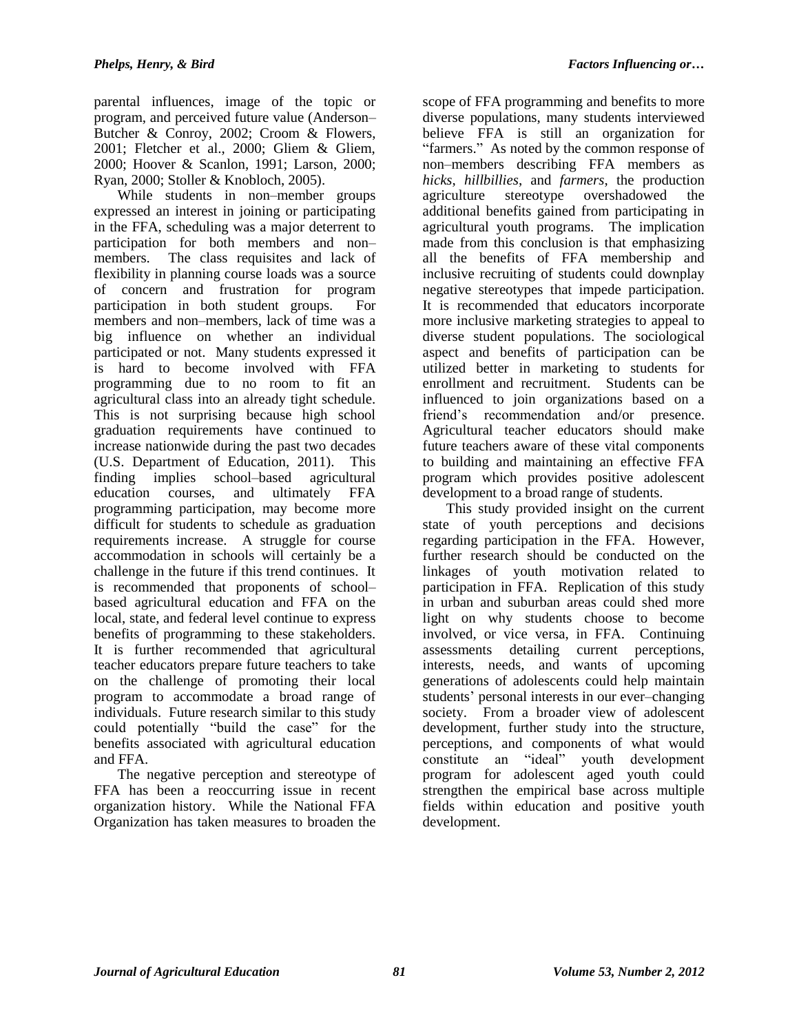parental influences, image of the topic or program, and perceived future value (Anderson– Butcher & Conroy, 2002; Croom & Flowers, 2001; Fletcher et al., 2000; Gliem & Gliem, 2000; Hoover & Scanlon, 1991; Larson, 2000; Ryan, 2000; Stoller & Knobloch, 2005).

While students in non–member groups expressed an interest in joining or participating in the FFA, scheduling was a major deterrent to participation for both members and non– members. The class requisites and lack of flexibility in planning course loads was a source of concern and frustration for program participation in both student groups. For members and non–members, lack of time was a big influence on whether an individual participated or not. Many students expressed it is hard to become involved with FFA programming due to no room to fit an agricultural class into an already tight schedule. This is not surprising because high school graduation requirements have continued to increase nationwide during the past two decades (U.S. Department of Education, 2011). This finding implies school–based agricultural education courses, and ultimately FFA programming participation, may become more difficult for students to schedule as graduation requirements increase. A struggle for course accommodation in schools will certainly be a challenge in the future if this trend continues. It is recommended that proponents of school– based agricultural education and FFA on the local, state, and federal level continue to express benefits of programming to these stakeholders. It is further recommended that agricultural teacher educators prepare future teachers to take on the challenge of promoting their local program to accommodate a broad range of individuals. Future research similar to this study could potentially "build the case" for the benefits associated with agricultural education and FFA.

The negative perception and stereotype of FFA has been a reoccurring issue in recent organization history. While the National FFA Organization has taken measures to broaden the

scope of FFA programming and benefits to more diverse populations, many students interviewed believe FFA is still an organization for "farmers." As noted by the common response of non–members describing FFA members as *hicks*, *hillbillies*, and *farmers*, the production agriculture stereotype overshadowed the additional benefits gained from participating in agricultural youth programs. The implication made from this conclusion is that emphasizing all the benefits of FFA membership and inclusive recruiting of students could downplay negative stereotypes that impede participation. It is recommended that educators incorporate more inclusive marketing strategies to appeal to diverse student populations. The sociological aspect and benefits of participation can be utilized better in marketing to students for enrollment and recruitment. Students can be influenced to join organizations based on a friend's recommendation and/or presence. Agricultural teacher educators should make future teachers aware of these vital components to building and maintaining an effective FFA program which provides positive adolescent development to a broad range of students.

This study provided insight on the current state of youth perceptions and decisions regarding participation in the FFA. However, further research should be conducted on the linkages of youth motivation related to participation in FFA. Replication of this study in urban and suburban areas could shed more light on why students choose to become involved, or vice versa, in FFA. Continuing assessments detailing current perceptions, interests, needs, and wants of upcoming generations of adolescents could help maintain students' personal interests in our ever–changing society. From a broader view of adolescent development, further study into the structure, perceptions, and components of what would constitute an "ideal" youth development program for adolescent aged youth could strengthen the empirical base across multiple fields within education and positive youth development.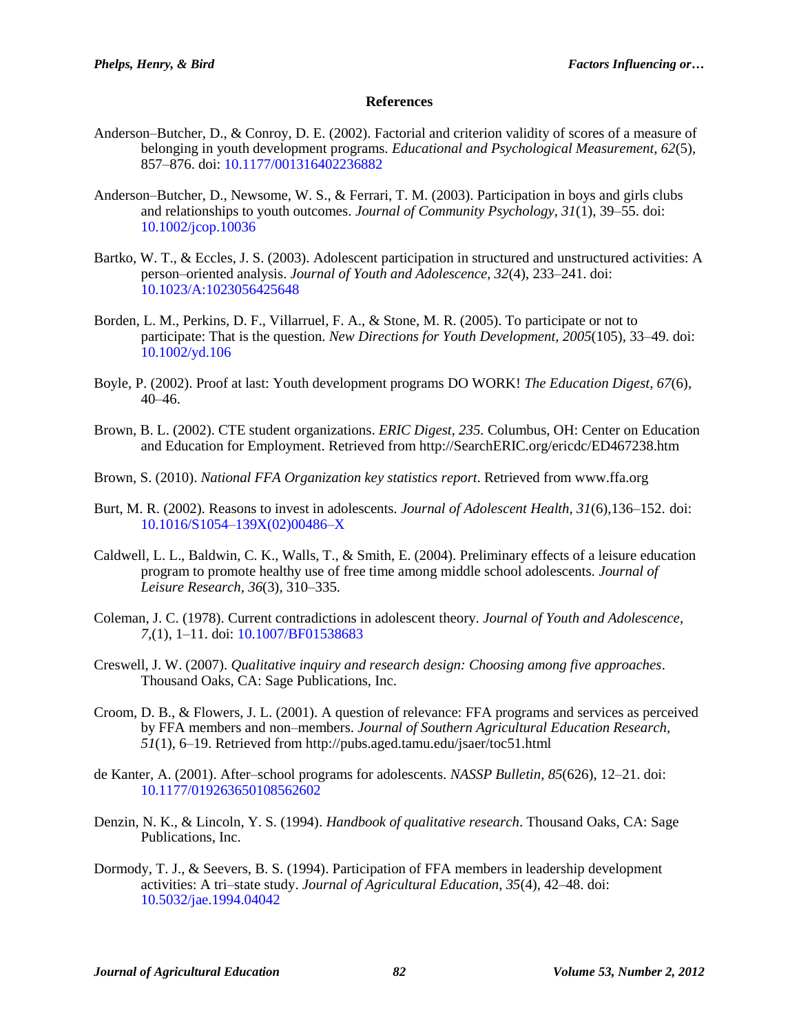#### **References**

- Anderson–Butcher, D., & Conroy, D. E. (2002). Factorial and criterion validity of scores of a measure of belonging in youth development programs. *Educational and Psychological Measurement, 62*(5), 857–876. doi: [10.1177/001316402236882](http://dx.doi.org/10.1177/001316402236882)
- Anderson–Butcher, D., Newsome, W. S., & Ferrari, T. M. (2003). Participation in boys and girls clubs and relationships to youth outcomes. *Journal of Community Psychology, 31*(1), 39–55. doi: [10.1002/jcop.10036](http://dx.doi.org/10.1002/jcop.10036)
- Bartko, W. T., & Eccles, J. S. (2003). Adolescent participation in structured and unstructured activities: A person–oriented analysis. *Journal of Youth and Adolescence, 32*(4), 233–241. doi: [10.1023/A:1023056425648](http://dx.doi.org/10.1023/A:1023056425648)
- Borden, L. M., Perkins, D. F., Villarruel, F. A., & Stone, M. R. (2005). To participate or not to participate: That is the question. *New Directions for Youth Development, 2005*(105)*,* 33–49. doi: [10.1002/yd.106](http://dx.doi.org/10.1002/yd.106)
- Boyle, P. (2002). Proof at last: Youth development programs DO WORK! *The Education Digest, 67*(6), 40–46.
- Brown, B. L. (2002). CTE student organizations. *ERIC Digest, 235.* Columbus, OH: Center on Education and Education for Employment. Retrieved from http://SearchERIC.org/ericdc/ED467238.htm
- Brown, S. (2010). *National FFA Organization key statistics report*. Retrieved from www.ffa.org
- Burt, M. R. (2002). Reasons to invest in adolescents. *Journal of Adolescent Health, 31*(6),136–152. doi: [10.1016/S1054–139X\(02\)00486–X](http://dx.doi.org/10.1016/S1054–139X(02)00486–X)
- Caldwell, L. L., Baldwin, C. K., Walls, T., & Smith, E. (2004). Preliminary effects of a leisure education program to promote healthy use of free time among middle school adolescents. *Journal of Leisure Research, 36*(3), 310–335.
- Coleman, J. C. (1978). Current contradictions in adolescent theory. *Journal of Youth and Adolescence*, *7*,(1), 1–11. doi: [10.1007/BF01538683](http://dx.doi.org/10.1007/BF01538683)
- Creswell, J. W. (2007). *Qualitative inquiry and research design: Choosing among five approaches*. Thousand Oaks, CA: Sage Publications, Inc.
- Croom, D. B., & Flowers, J. L. (2001). A question of relevance: FFA programs and services as perceived by FFA members and non–members. *Journal of Southern Agricultural Education Research, 51*(1), 6–19. Retrieved from http://pubs.aged.tamu.edu/jsaer/toc51.html
- de Kanter, A. (2001). After–school programs for adolescents. *NASSP Bulletin, 85*(626), 12–21. doi: [10.1177/019263650108562602](http://dx.doi.org/10.1177/019263650108562602)
- Denzin, N. K., & Lincoln, Y. S. (1994). *Handbook of qualitative research*. Thousand Oaks, CA: Sage Publications, Inc.
- Dormody, T. J., & Seevers, B. S. (1994). Participation of FFA members in leadership development activities: A tri–state study. *Journal of Agricultural Education, 35*(4), 42–48. doi: [10.5032/jae.1994.04042](http://dx.doi.org/10.5032/jae.1994.04042)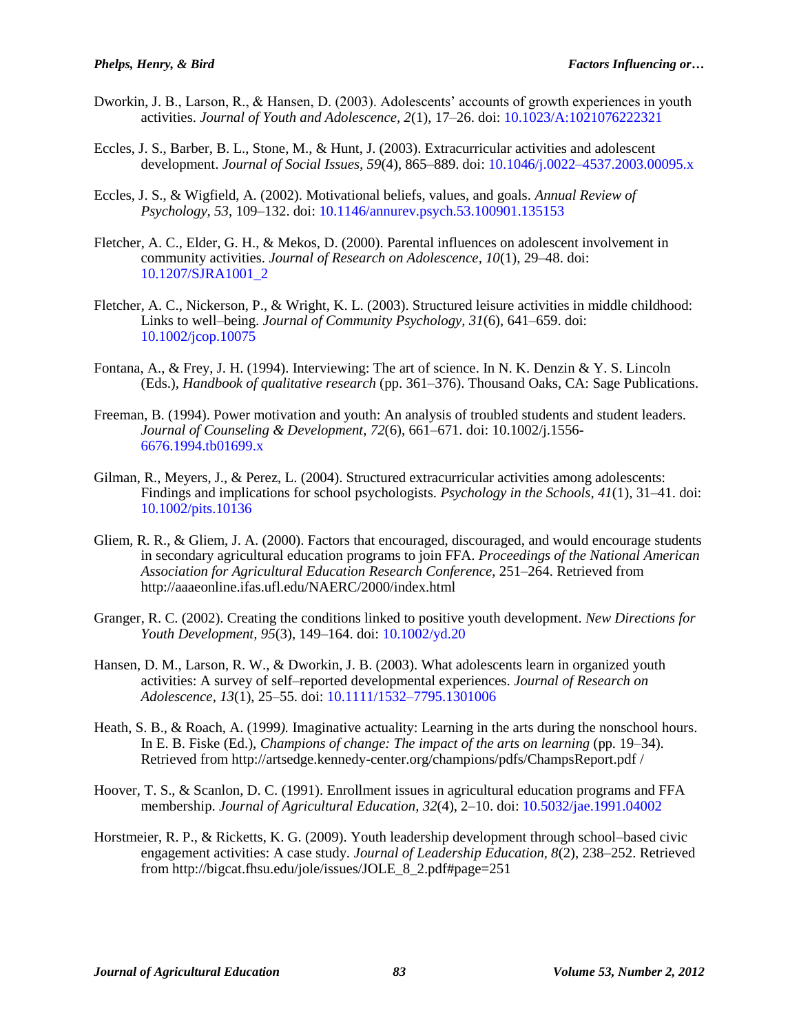- Dworkin, J. B., Larson, R., & Hansen, D. (2003). Adolescents' accounts of growth experiences in youth activities. *Journal of Youth and Adolescence, 2*(1), 17–26. doi: [10.1023/A:1021076222321](http://dx.doi.org/10.1023/A:1021076222321)
- Eccles, J. S., Barber, B. L., Stone, M., & Hunt, J. (2003). Extracurricular activities and adolescent development. *Journal of Social Issues, 59*(4), 865–889. doi: [10.1046/j.0022–4537.2003.00095.x](http://dx.doi.org/10.1046/j.0022–4537.2003.00095.x)
- Eccles, J. S., & Wigfield, A. (2002). Motivational beliefs, values, and goals. *Annual Review of Psychology, 53*, 109–132. doi: [10.1146/annurev.psych.53.100901.135153](http://dx.doi.org/10.1146/annurev.psych.53.100901.135153)
- Fletcher, A. C., Elder, G. H., & Mekos, D. (2000). Parental influences on adolescent involvement in community activities. *Journal of Research on Adolescence, 10*(1), 29–48. doi: [10.1207/SJRA1001\\_2](http://dx.doi.org/10.1207/SJRA1001_2)
- Fletcher, A. C., Nickerson, P., & Wright, K. L. (2003). Structured leisure activities in middle childhood: Links to well–being. *Journal of Community Psychology, 31*(6), 641–659. doi: [10.1002/jcop.10075](http://dx.doi.org/10.1002/jcop.10075)
- Fontana, A., & Frey, J. H. (1994). Interviewing: The art of science. In N. K. Denzin & Y. S. Lincoln (Eds.), *Handbook of qualitative research* (pp. 361–376). Thousand Oaks, CA: Sage Publications.
- Freeman, B. (1994). Power motivation and youth: An analysis of troubled students and student leaders. *Journal of Counseling & Development, 72*(6), 661–671. doi: 10.1002/j.1556- [6676.1994.tb01699.x](http://dx.doi.org/6676.1994.tb01699.x)
- Gilman, R., Meyers, J., & Perez, L. (2004). Structured extracurricular activities among adolescents: Findings and implications for school psychologists. *Psychology in the Schools, 41*(1), 31–41. doi: [10.1002/pits.10136](http://dx.doi.org/10.1002/pits.10136)
- Gliem, R. R., & Gliem, J. A. (2000). Factors that encouraged, discouraged, and would encourage students in secondary agricultural education programs to join FFA. *Proceedings of the National American Association for Agricultural Education Research Conference*, 251–264. Retrieved from http://aaaeonline.ifas.ufl.edu/NAERC/2000/index.html
- Granger, R. C. (2002). Creating the conditions linked to positive youth development. *New Directions for Youth Development, 95*(3), 149–164. doi: [10.1002/yd.20](http://dx.doi.org/10.1002/yd.20)
- Hansen, D. M., Larson, R. W., & Dworkin, J. B. (2003). What adolescents learn in organized youth activities: A survey of self–reported developmental experiences. *Journal of Research on Adolescence, 13*(1), 25–55. doi: [10.1111/1532–7795.1301006](http://dx.doi.org/10.1111/1532–7795.1301006)
- Heath, S. B., & Roach, A. (1999*).* Imaginative actuality: Learning in the arts during the nonschool hours. In E. B. Fiske (Ed.), *Champions of change: The impact of the arts on learning* (pp. 19–34). Retrieved fro[m http://artsedge.kennedy-center.org/champions/pdfs/ChampsReport.pdf](http://artsedge.kennedy-center.org/champions/pdfs/ChampsReport.pdf) /
- Hoover, T. S., & Scanlon, D. C. (1991). Enrollment issues in agricultural education programs and FFA membership. *Journal of Agricultural Education, 32*(4), 2–10. doi: [10.5032/jae.1991.04002](http://dx.doi.org/10.5032/jae.1991.04002)
- Horstmeier, R. P., & Ricketts, K. G. (2009). Youth leadership development through school–based civic engagement activities: A case study*. Journal of Leadership Education, 8*(2), 238–252. Retrieved from http://bigcat.fhsu.edu/jole/issues/JOLE\_8\_2.pdf#page=251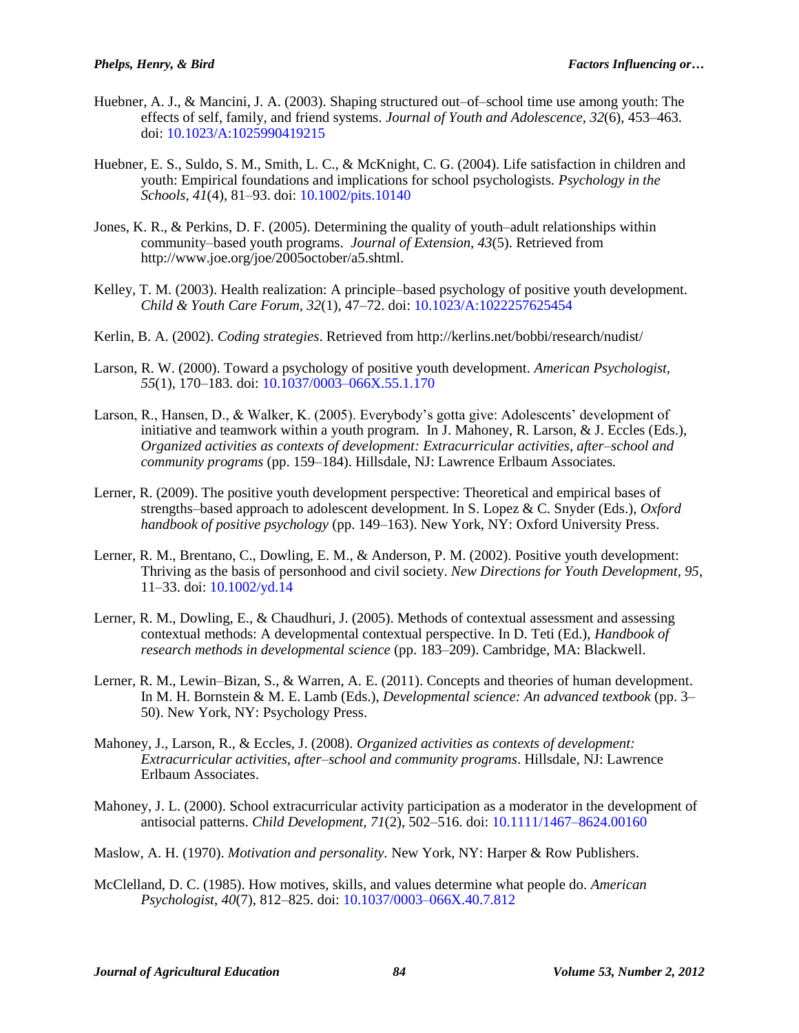- Huebner, A. J., & Mancini, J. A. (2003). Shaping structured out–of–school time use among youth: The effects of self, family, and friend systems. *Journal of Youth and Adolescence, 32*(6), 453–463. doi: [10.1023/A:1025990419215](http://dx.doi.org/10.1023/A:1025990419215)
- Huebner, E. S., Suldo, S. M., Smith, L. C., & McKnight, C. G. (2004). Life satisfaction in children and youth: Empirical foundations and implications for school psychologists. *Psychology in the Schools, 41*(4), 81–93. doi: [10.1002/pits.10140](http://dx.doi.org/10.1002/pits.10140)
- Jones, K. R., & Perkins, D. F. (2005). Determining the quality of youth–adult relationships within community–based youth programs. *Journal of Extension, 43*(5). Retrieved from http://www.joe.org/joe/2005october/a5.shtml.
- Kelley, T. M. (2003). Health realization: A principle–based psychology of positive youth development. *Child & Youth Care Forum, 32*(1), 47–72. doi: [10.1023/A:1022257625454](http://dx.doi.org/10.1023/A:1022257625454)
- Kerlin, B. A. (2002). *Coding strategies*. Retrieved from http://kerlins.net/bobbi/research/nudist/
- Larson, R. W. (2000). Toward a psychology of positive youth development. *American Psychologist, 55*(1), 170–183. doi: [10.1037/0003–066X.55.1.170](http://dx.doi.org/10.1037/0003–066X.55.1.170)
- Larson, R., Hansen, D., & Walker, K. (2005). Everybody's gotta give: Adolescents' development of initiative and teamwork within a youth program. In J. Mahoney, R. Larson, & J. Eccles (Eds.), *Organized activities as contexts of development: Extracurricular activities, after–school and community programs* (pp. 159–184). Hillsdale, NJ: Lawrence Erlbaum Associates.
- Lerner, R. (2009). The positive youth development perspective: Theoretical and empirical bases of strengths–based approach to adolescent development. In S. Lopez & C. Snyder (Eds.), *Oxford handbook of positive psychology* (pp. 149–163). New York, NY: Oxford University Press.
- Lerner, R. M., Brentano, C., Dowling, E. M., & Anderson, P. M. (2002). Positive youth development: Thriving as the basis of personhood and civil society. *New Directions for Youth Development, 95*, 11–33. doi: [10.1002/yd.14](http://dx.doi.org/10.1002/yd.14)
- Lerner, R. M., Dowling, E., & Chaudhuri, J. (2005). Methods of contextual assessment and assessing contextual methods: A developmental contextual perspective. In D. Teti (Ed.), *Handbook of research methods in developmental science* (pp. 183–209). Cambridge, MA: Blackwell.
- Lerner, R. M., Lewin–Bizan, S., & Warren, A. E. (2011). Concepts and theories of human development. In M. H. Bornstein & M. E. Lamb (Eds.), *Developmental science: An advanced textbook* (pp. 3– 50). New York, NY: Psychology Press.
- Mahoney, J., Larson, R., & Eccles, J. (2008). *Organized activities as contexts of development: Extracurricular activities, after–school and community programs*. Hillsdale, NJ: Lawrence Erlbaum Associates.
- Mahoney, J. L. (2000). School extracurricular activity participation as a moderator in the development of antisocial patterns. *Child Development, 71*(2), 502–516. doi: [10.1111/1467–8624.00160](http://dx.doi.org/10.1111/1467–8624.00160)
- Maslow, A. H. (1970). *Motivation and personality.* New York, NY: Harper & Row Publishers.
- McClelland, D. C. (1985). How motives, skills, and values determine what people do. *American Psychologist*, *40*(7), 812–825. doi: [10.1037/0003–066X.40.7.812](http://psycnet.apa.org/doi/10.1037/0003-066X.40.7.812)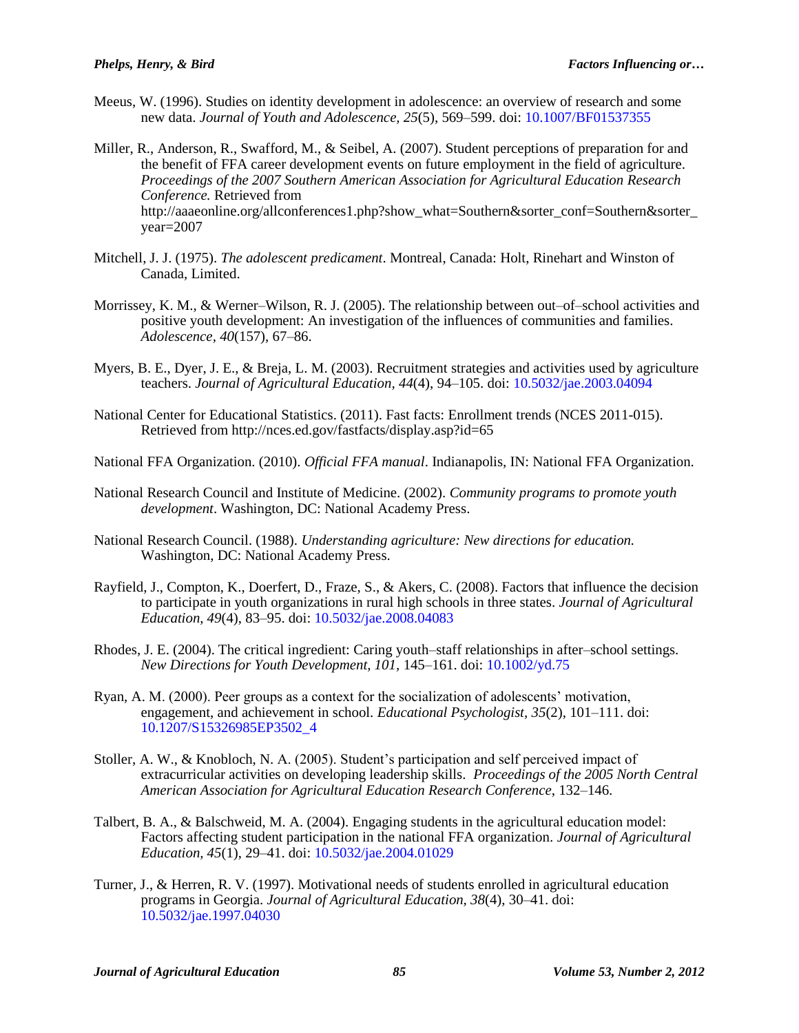- Meeus, W. (1996). Studies on identity development in adolescence: an overview of research and some new data. *Journal of Youth and Adolescence, 25*(5), 569–599. doi: [10.1007/BF01537355](http://dx.doi.org/10.1007/BF01537355)
- Miller, R., Anderson, R., Swafford, M., & Seibel, A. (2007). Student perceptions of preparation for and the benefit of FFA career development events on future employment in the field of agriculture. *Proceedings of the 2007 Southern American Association for Agricultural Education Research Conference.* Retrieved from http://aaaeonline.org/allconferences1.php?show\_what=Southern&sorter\_conf=Southern&sorter year=2007
- Mitchell, J. J. (1975). *The adolescent predicament*. Montreal, Canada: Holt, Rinehart and Winston of Canada, Limited.
- Morrissey, K. M., & Werner–Wilson, R. J. (2005). The relationship between out–of–school activities and positive youth development: An investigation of the influences of communities and families. *Adolescence, 40*(157), 67–86.
- Myers, B. E., Dyer, J. E., & Breja, L. M. (2003). Recruitment strategies and activities used by agriculture teachers. *Journal of Agricultural Education, 44*(4), 94–105. doi: [10.5032/jae.2003.04094](http://dx.doi.org/10.5032/jae.2003.04094)
- National Center for Educational Statistics. (2011). Fast facts: Enrollment trends (NCES 2011-015). Retrieved from http://nces.ed.gov/fastfacts/display.asp?id=65
- National FFA Organization. (2010). *Official FFA manual*. Indianapolis, IN: National FFA Organization.
- National Research Council and Institute of Medicine. (2002). *Community programs to promote youth development*. Washington, DC: National Academy Press.
- National Research Council. (1988). *Understanding agriculture: New directions for education.*  Washington, DC: National Academy Press.
- Rayfield, J., Compton, K., Doerfert, D., Fraze, S., & Akers, C. (2008). Factors that influence the decision to participate in youth organizations in rural high schools in three states. *Journal of Agricultural Education*, *49*(4), 83–95. doi: [10.5032/jae.2008.04083](http://dx.doi.org/10.5032/jae.2008.04083)
- Rhodes, J. E. (2004). The critical ingredient: Caring youth–staff relationships in after–school settings. *New Directions for Youth Development, 101,* 145–161. doi: [10.1002/yd.75](http://dx.doi.org/10.1002/yd.75)
- Ryan, A. M. (2000). Peer groups as a context for the socialization of adolescents' motivation, engagement, and achievement in school. *Educational Psychologist, 35*(2), 101–111. doi: [10.1207/S15326985EP3502\\_4](http://dx.doi.org/10.1207/S15326985EP3502_4)
- Stoller, A. W., & Knobloch, N. A. (2005). Student's participation and self perceived impact of extracurricular activities on developing leadership skills. *Proceedings of the 2005 North Central American Association for Agricultural Education Research Conference*, 132–146.
- Talbert, B. A., & Balschweid, M. A. (2004). Engaging students in the agricultural education model: Factors affecting student participation in the national FFA organization. *Journal of Agricultural Education, 45*(1), 29–41. doi: [10.5032/jae.2004.01029](http://dx.doi.org/10.5032/jae.2004.01029)
- Turner, J., & Herren, R. V. (1997). Motivational needs of students enrolled in agricultural education programs in Georgia. *Journal of Agricultural Education, 38*(4), 30–41. doi: [10.5032/jae.1997.04030](http://dx.doi.org/10.5032/jae.1997.04030)